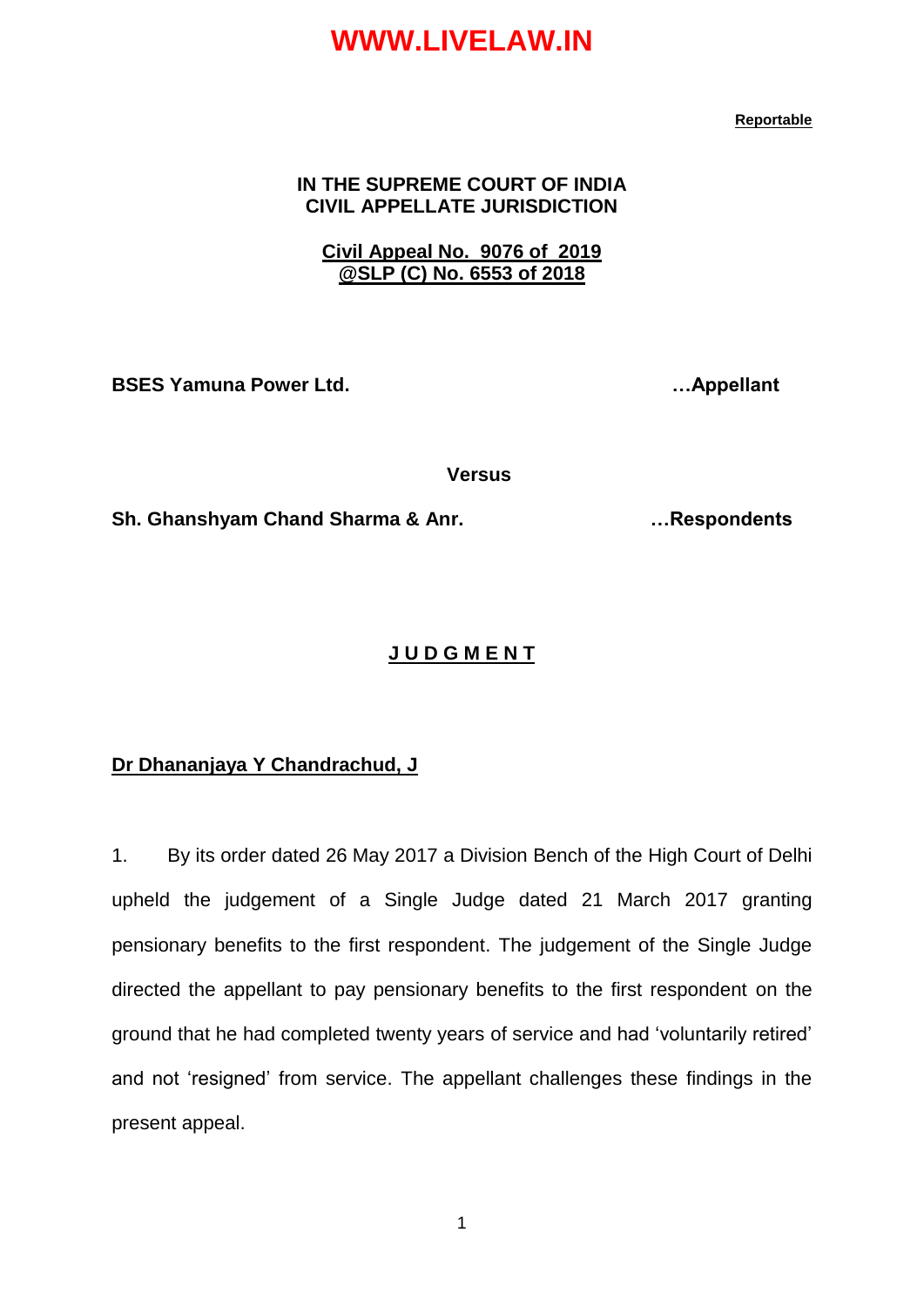#### **Reportable**

#### **IN THE SUPREME COURT OF INDIA CIVIL APPELLATE JURISDICTION**

#### **Civil Appeal No. 9076 of 2019 @SLP (C) No. 6553 of 2018**

**BSES Yamuna Power Ltd. …Appellant**

 **Versus**

**Sh. Ghanshyam Chand Sharma & Anr. …Respondents**

#### **J U D G M E N T**

#### **Dr Dhananjaya Y Chandrachud, J**

1. By its order dated 26 May 2017 a Division Bench of the High Court of Delhi upheld the judgement of a Single Judge dated 21 March 2017 granting pensionary benefits to the first respondent. The judgement of the Single Judge directed the appellant to pay pensionary benefits to the first respondent on the ground that he had completed twenty years of service and had "voluntarily retired" and not "resigned" from service. The appellant challenges these findings in the present appeal.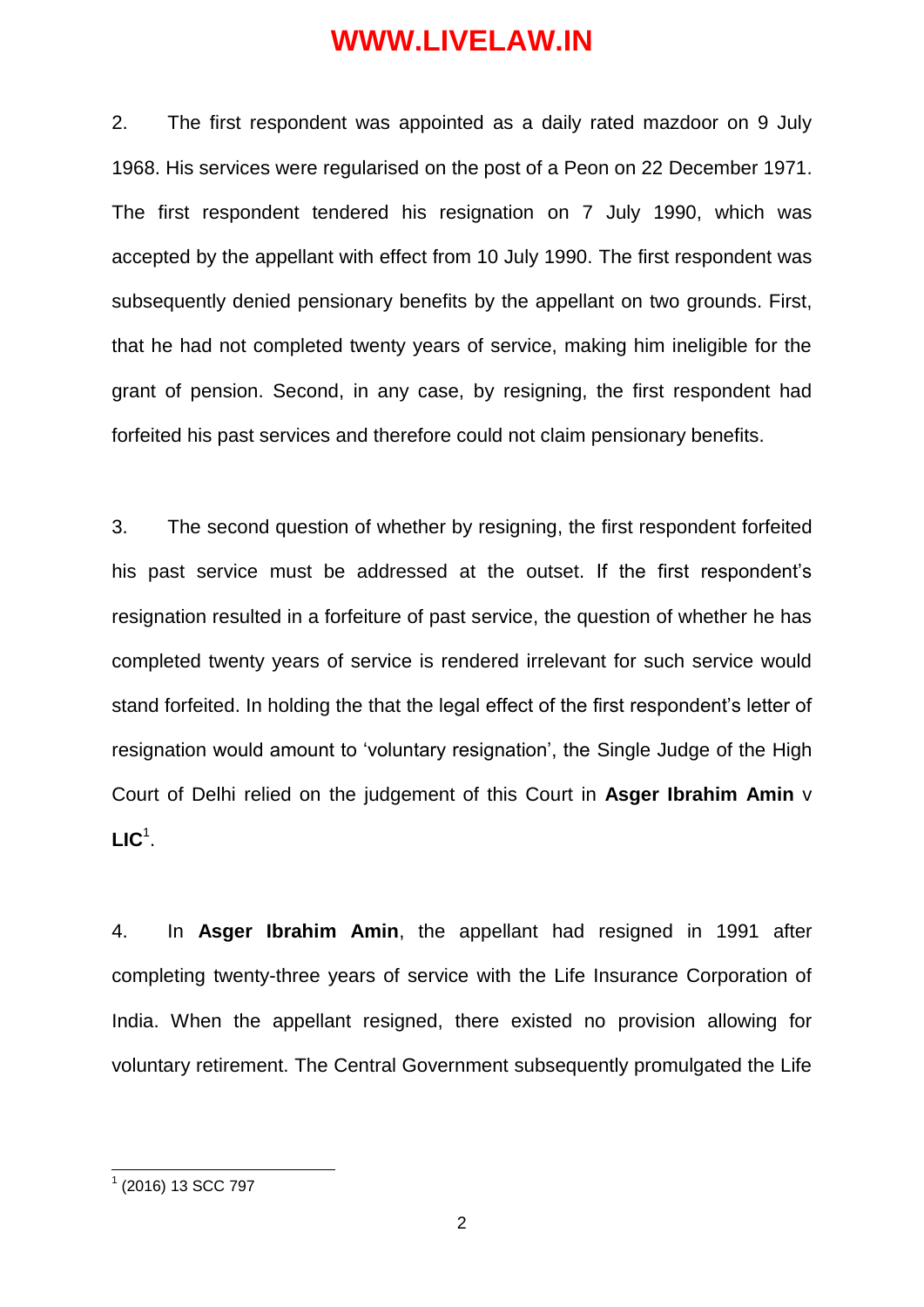2. The first respondent was appointed as a daily rated mazdoor on 9 July 1968. His services were regularised on the post of a Peon on 22 December 1971. The first respondent tendered his resignation on 7 July 1990, which was accepted by the appellant with effect from 10 July 1990. The first respondent was subsequently denied pensionary benefits by the appellant on two grounds. First, that he had not completed twenty years of service, making him ineligible for the grant of pension. Second, in any case, by resigning, the first respondent had forfeited his past services and therefore could not claim pensionary benefits.

3. The second question of whether by resigning, the first respondent forfeited his past service must be addressed at the outset. If the first respondent's resignation resulted in a forfeiture of past service, the question of whether he has completed twenty years of service is rendered irrelevant for such service would stand forfeited. In holding the that the legal effect of the first respondent"s letter of resignation would amount to "voluntary resignation", the Single Judge of the High Court of Delhi relied on the judgement of this Court in **Asger Ibrahim Amin** v  $LIC<sup>1</sup>$ .

4. In **Asger Ibrahim Amin**, the appellant had resigned in 1991 after completing twenty-three years of service with the Life Insurance Corporation of India. When the appellant resigned, there existed no provision allowing for voluntary retirement. The Central Government subsequently promulgated the Life

 1 (2016) 13 SCC 797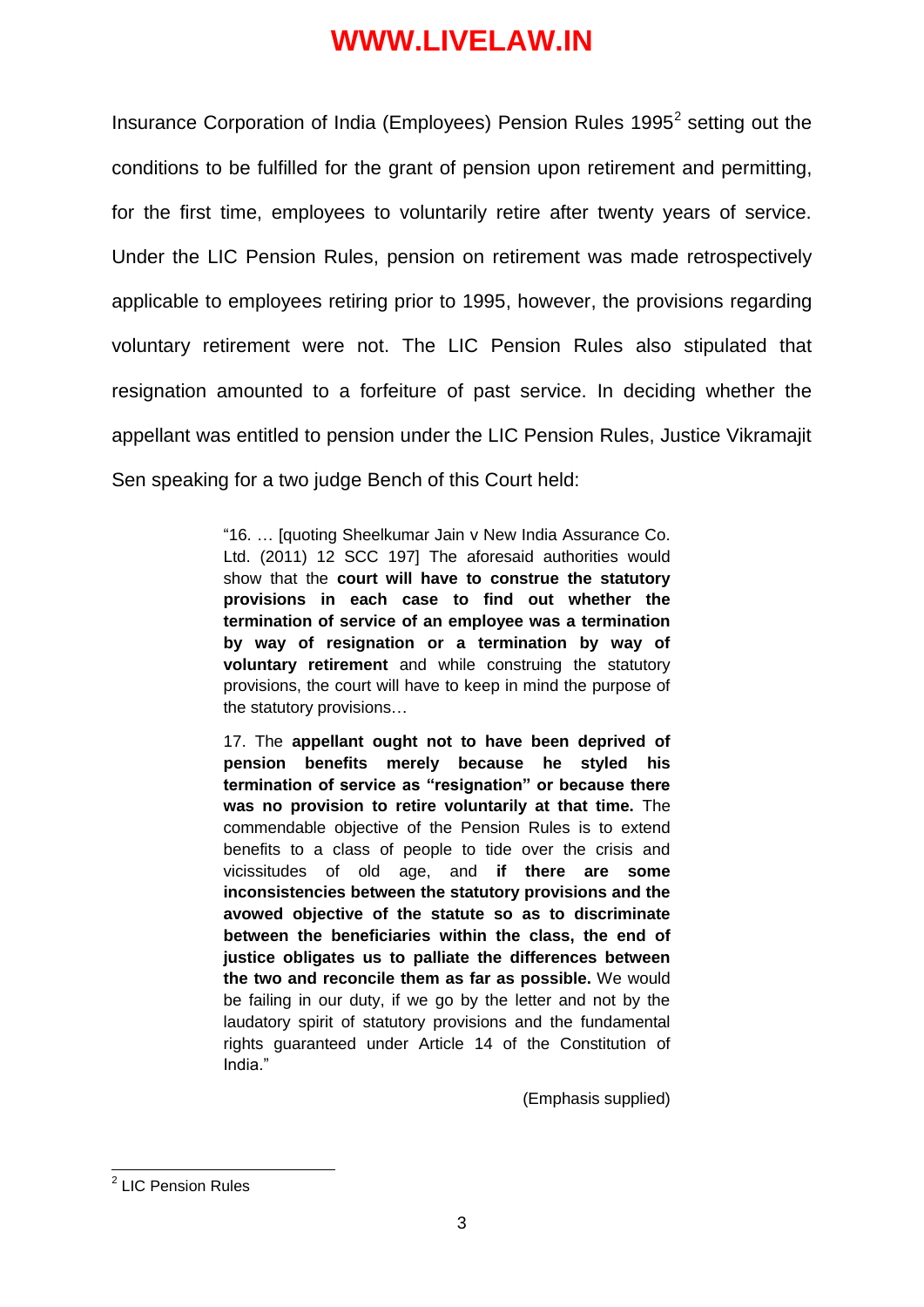Insurance Corporation of India (Employees) Pension Rules 1995 $2$  setting out the conditions to be fulfilled for the grant of pension upon retirement and permitting, for the first time, employees to voluntarily retire after twenty years of service. Under the LIC Pension Rules, pension on retirement was made retrospectively applicable to employees retiring prior to 1995, however, the provisions regarding voluntary retirement were not. The LIC Pension Rules also stipulated that resignation amounted to a forfeiture of past service. In deciding whether the appellant was entitled to pension under the LIC Pension Rules, Justice Vikramajit Sen speaking for a two judge Bench of this Court held:

> "16. … [quoting Sheelkumar Jain v New India Assurance Co. Ltd. (2011) 12 SCC 197] The aforesaid authorities would show that the **court will have to construe the statutory provisions in each case to find out whether the termination of service of an employee was a termination by way of resignation or a termination by way of voluntary retirement** and while construing the statutory provisions, the court will have to keep in mind the purpose of the statutory provisions…

> 17. The **appellant ought not to have been deprived of pension benefits merely because he styled his termination of service as "resignation" or because there was no provision to retire voluntarily at that time.** The commendable objective of the Pension Rules is to extend benefits to a class of people to tide over the crisis and vicissitudes of old age, and **if there are some inconsistencies between the statutory provisions and the avowed objective of the statute so as to discriminate between the beneficiaries within the class, the end of justice obligates us to palliate the differences between the two and reconcile them as far as possible.** We would be failing in our duty, if we go by the letter and not by the laudatory spirit of statutory provisions and the fundamental rights guaranteed under Article 14 of the Constitution of India."

> > (Emphasis supplied)

 2 LIC Pension Rules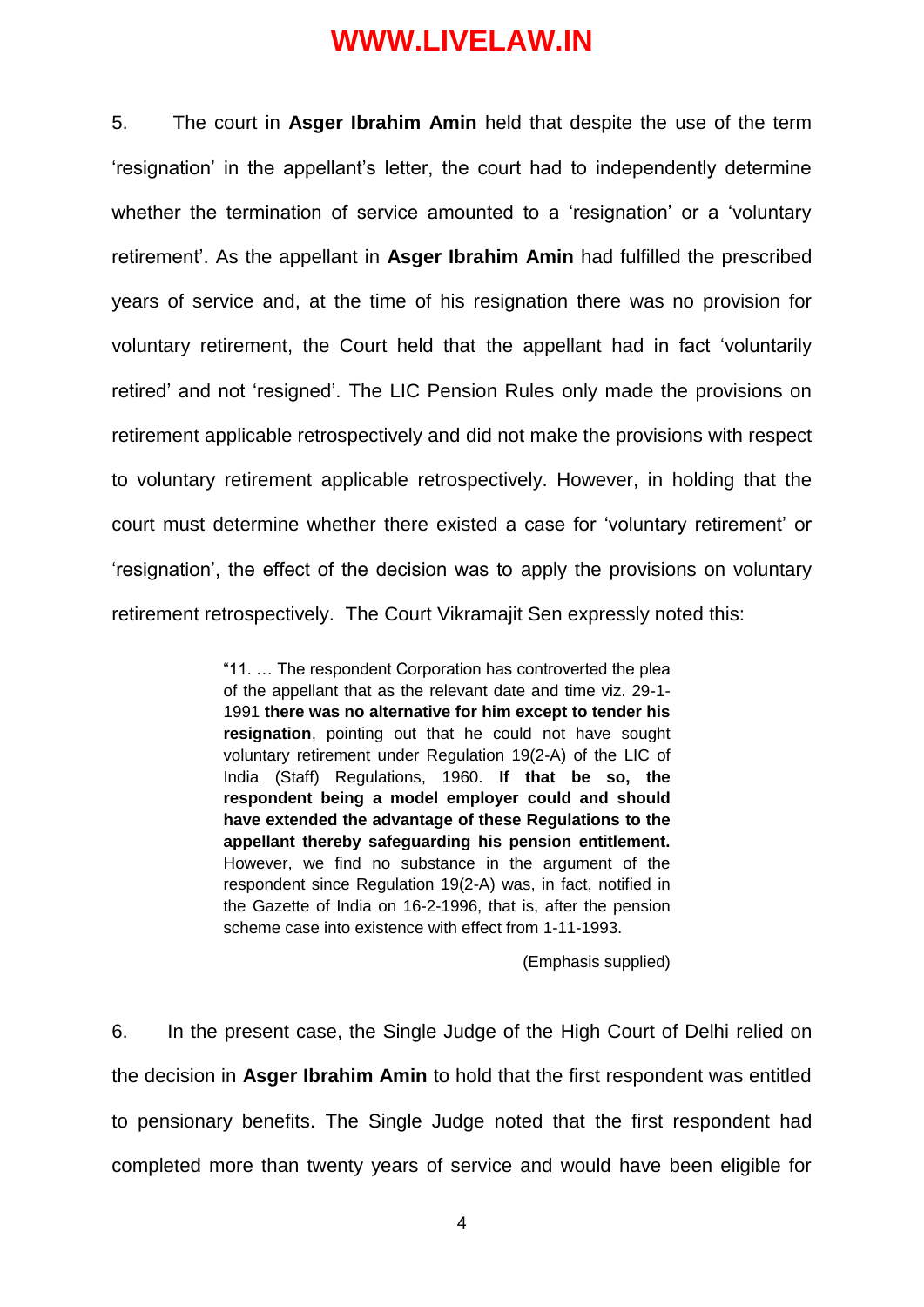5. The court in **Asger Ibrahim Amin** held that despite the use of the term "resignation" in the appellant"s letter, the court had to independently determine whether the termination of service amounted to a 'resignation' or a 'voluntary retirement". As the appellant in **Asger Ibrahim Amin** had fulfilled the prescribed years of service and, at the time of his resignation there was no provision for voluntary retirement, the Court held that the appellant had in fact "voluntarily retired" and not "resigned". The LIC Pension Rules only made the provisions on retirement applicable retrospectively and did not make the provisions with respect to voluntary retirement applicable retrospectively. However, in holding that the court must determine whether there existed a case for "voluntary retirement" or "resignation", the effect of the decision was to apply the provisions on voluntary retirement retrospectively. The Court Vikramajit Sen expressly noted this:

> "11. … The respondent Corporation has controverted the plea of the appellant that as the relevant date and time viz. 29-1- 1991 **there was no alternative for him except to tender his resignation**, pointing out that he could not have sought voluntary retirement under Regulation 19(2-A) of the LIC of India (Staff) Regulations, 1960. **If that be so, the respondent being a model employer could and should have extended the advantage of these Regulations to the appellant thereby safeguarding his pension entitlement.** However, we find no substance in the argument of the respondent since Regulation 19(2-A) was, in fact, notified in the Gazette of India on 16-2-1996, that is, after the pension scheme case into existence with effect from 1-11-1993.

> > (Emphasis supplied)

6. In the present case, the Single Judge of the High Court of Delhi relied on the decision in **Asger Ibrahim Amin** to hold that the first respondent was entitled to pensionary benefits. The Single Judge noted that the first respondent had completed more than twenty years of service and would have been eligible for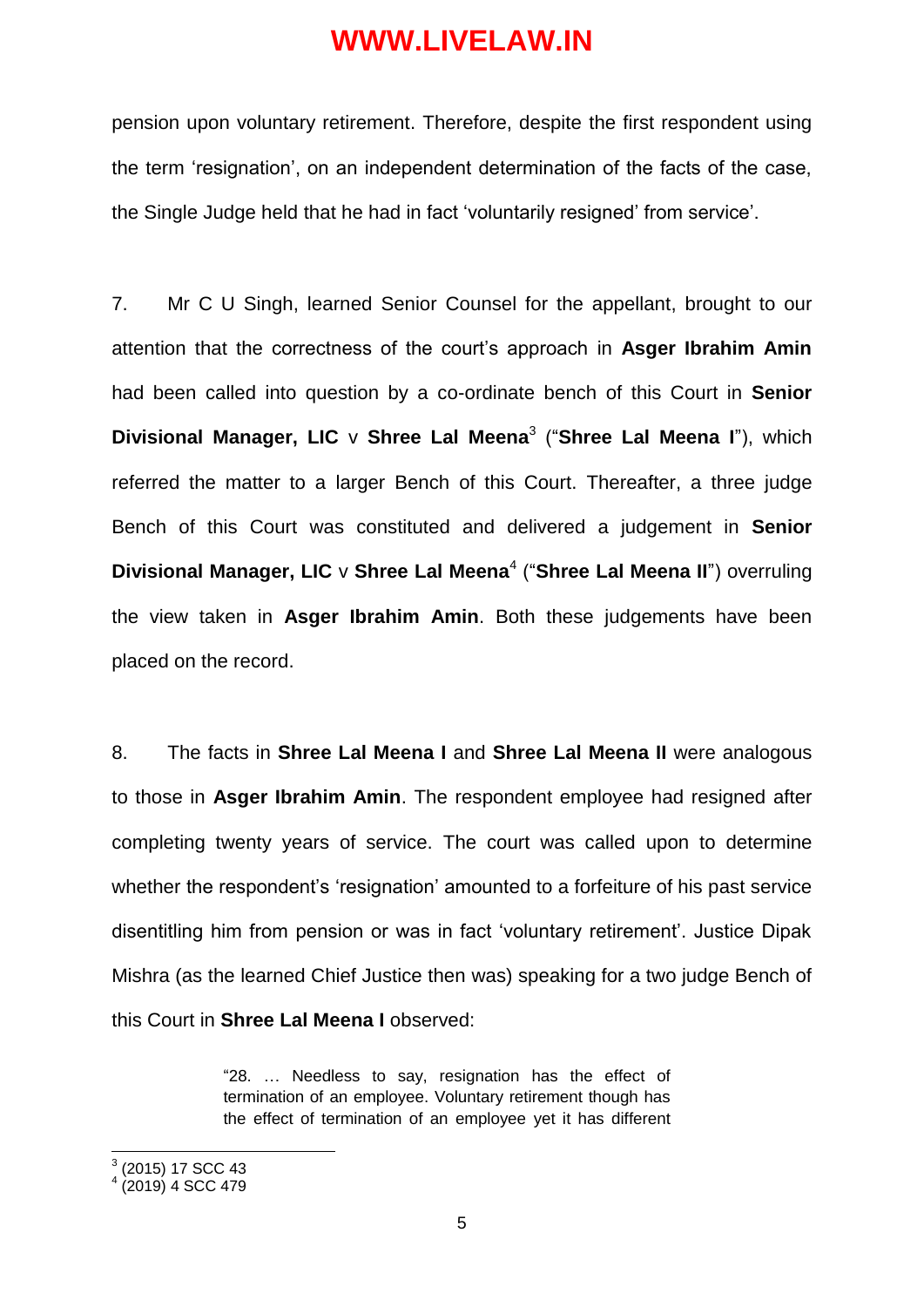pension upon voluntary retirement. Therefore, despite the first respondent using the term "resignation", on an independent determination of the facts of the case, the Single Judge held that he had in fact "voluntarily resigned" from service".

7. Mr C U Singh, learned Senior Counsel for the appellant, brought to our attention that the correctness of the court"s approach in **Asger Ibrahim Amin** had been called into question by a co-ordinate bench of this Court in **Senior Divisional Manager, LIC** v **Shree Lal Meena**<sup>3</sup> ("**Shree Lal Meena I**"), which referred the matter to a larger Bench of this Court. Thereafter, a three judge Bench of this Court was constituted and delivered a judgement in **Senior Divisional Manager, LIC** v Shree Lal Meena<sup>4</sup> ("Shree Lal Meena II") overruling the view taken in **Asger Ibrahim Amin**. Both these judgements have been placed on the record.

8. The facts in **Shree Lal Meena I** and **Shree Lal Meena II** were analogous to those in **Asger Ibrahim Amin**. The respondent employee had resigned after completing twenty years of service. The court was called upon to determine whether the respondent's 'resignation' amounted to a forfeiture of his past service disentitling him from pension or was in fact "voluntary retirement". Justice Dipak Mishra (as the learned Chief Justice then was) speaking for a two judge Bench of this Court in **Shree Lal Meena I** observed:

> "28. … Needless to say, resignation has the effect of termination of an employee. Voluntary retirement though has the effect of termination of an employee yet it has different

 3 (2015) 17 SCC 43

 $4(2019)$  4 SCC 479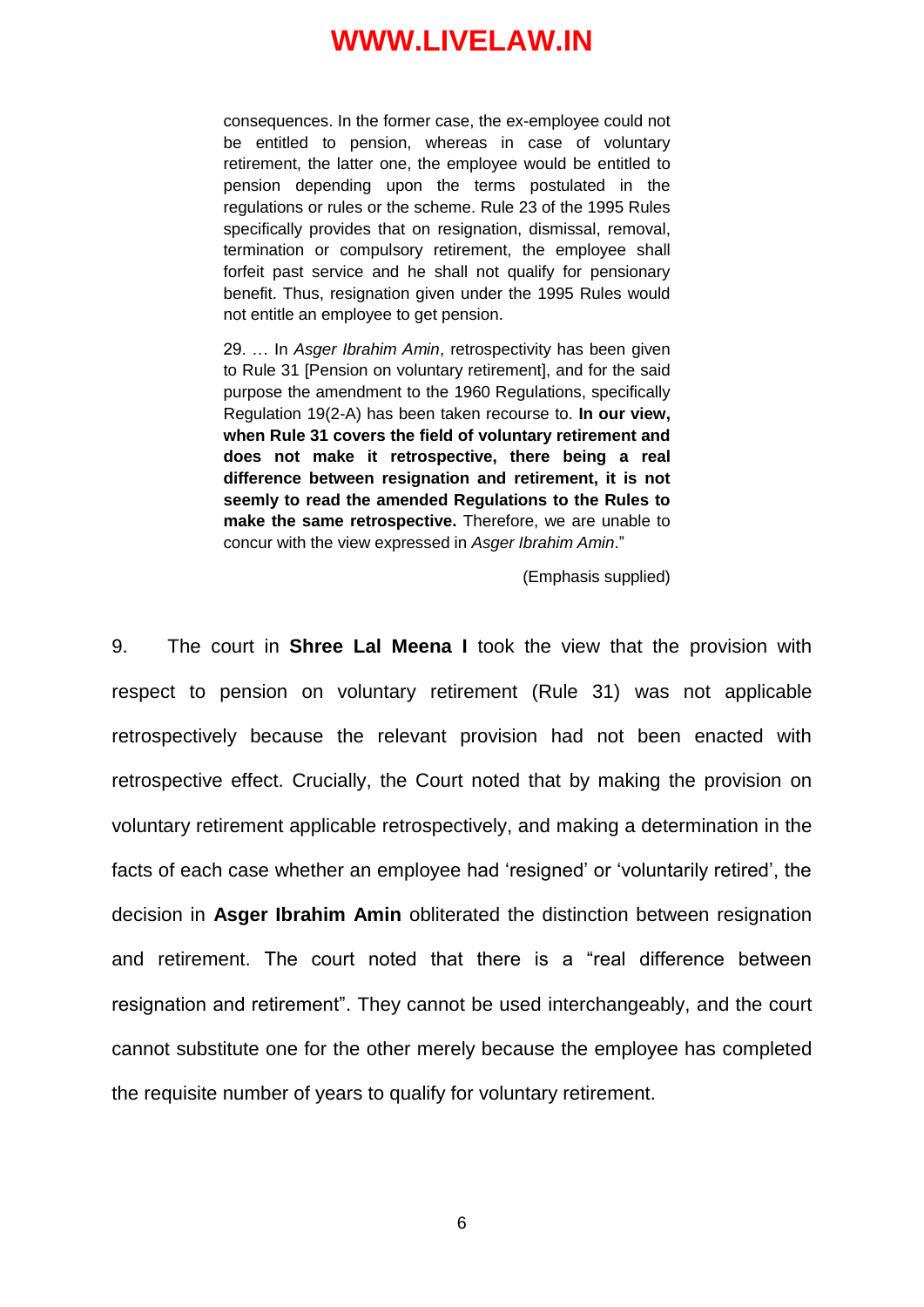consequences. In the former case, the ex-employee could not be entitled to pension, whereas in case of voluntary retirement, the latter one, the employee would be entitled to pension depending upon the terms postulated in the regulations or rules or the scheme. Rule 23 of the 1995 Rules specifically provides that on resignation, dismissal, removal, termination or compulsory retirement, the employee shall forfeit past service and he shall not qualify for pensionary benefit. Thus, resignation given under the 1995 Rules would not entitle an employee to get pension.

29. … In *Asger Ibrahim Amin*, retrospectivity has been given to Rule 31 [Pension on voluntary retirement], and for the said purpose the amendment to the 1960 Regulations, specifically Regulation 19(2-A) has been taken recourse to. **In our view, when Rule 31 covers the field of voluntary retirement and does not make it retrospective, there being a real difference between resignation and retirement, it is not seemly to read the amended Regulations to the Rules to make the same retrospective.** Therefore, we are unable to concur with the view expressed in *Asger Ibrahim Amin*."

(Emphasis supplied)

9. The court in **Shree Lal Meena I** took the view that the provision with respect to pension on voluntary retirement (Rule 31) was not applicable retrospectively because the relevant provision had not been enacted with retrospective effect. Crucially, the Court noted that by making the provision on voluntary retirement applicable retrospectively, and making a determination in the facts of each case whether an employee had "resigned" or "voluntarily retired", the decision in **Asger Ibrahim Amin** obliterated the distinction between resignation and retirement. The court noted that there is a "real difference between resignation and retirement". They cannot be used interchangeably, and the court cannot substitute one for the other merely because the employee has completed the requisite number of years to qualify for voluntary retirement.

6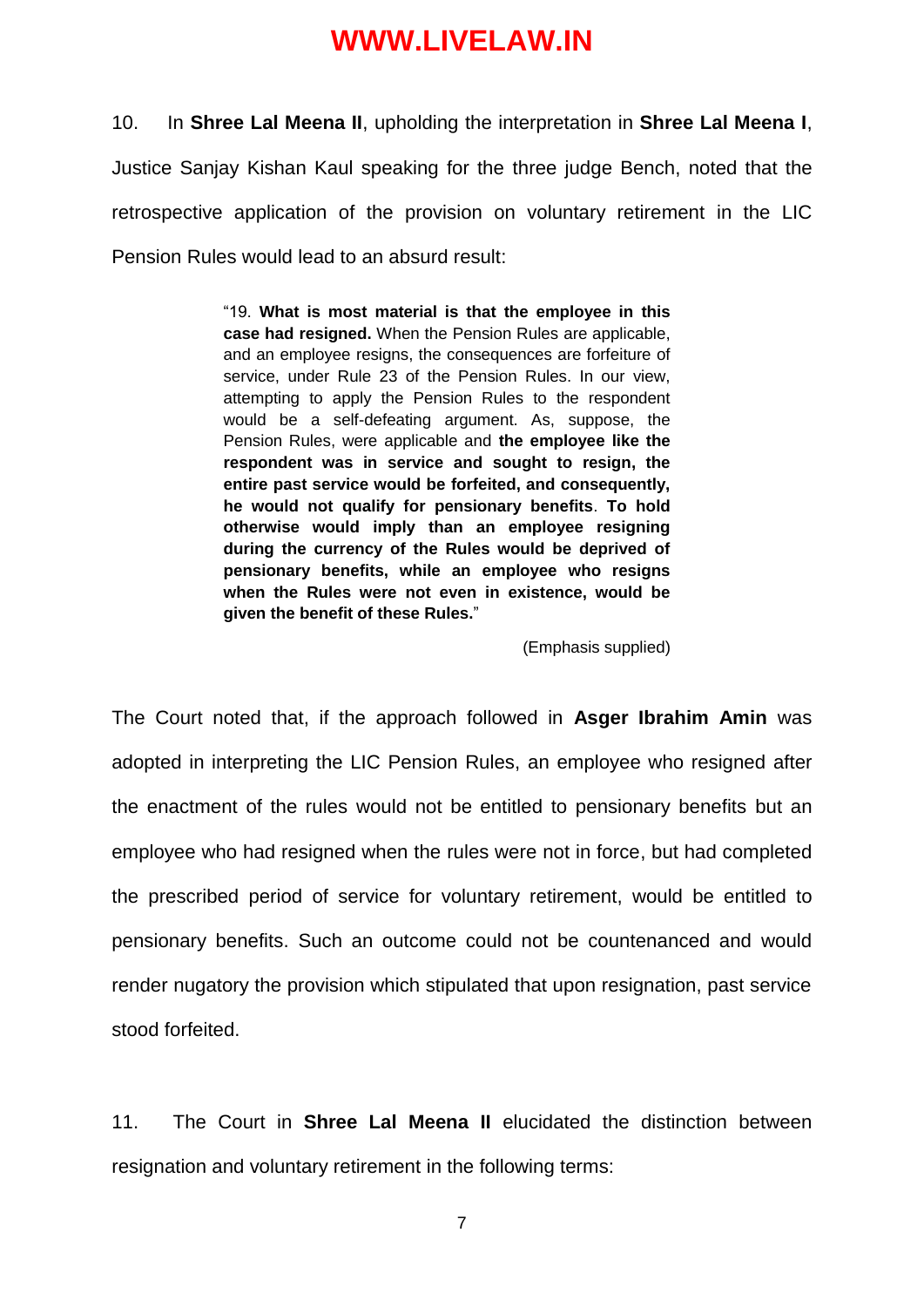10. In **Shree Lal Meena II**, upholding the interpretation in **Shree Lal Meena I**, Justice Sanjay Kishan Kaul speaking for the three judge Bench, noted that the retrospective application of the provision on voluntary retirement in the LIC Pension Rules would lead to an absurd result:

> "19. **What is most material is that the employee in this case had resigned.** When the Pension Rules are applicable, and an employee resigns, the consequences are forfeiture of service, under Rule 23 of the Pension Rules. In our view, attempting to apply the Pension Rules to the respondent would be a self-defeating argument. As, suppose, the Pension Rules, were applicable and **the employee like the respondent was in service and sought to resign, the entire past service would be forfeited, and consequently, he would not qualify for pensionary benefits**. **To hold otherwise would imply than an employee resigning during the currency of the Rules would be deprived of pensionary benefits, while an employee who resigns when the Rules were not even in existence, would be given the benefit of these Rules.**"

> > (Emphasis supplied)

The Court noted that, if the approach followed in **Asger Ibrahim Amin** was adopted in interpreting the LIC Pension Rules, an employee who resigned after the enactment of the rules would not be entitled to pensionary benefits but an employee who had resigned when the rules were not in force, but had completed the prescribed period of service for voluntary retirement, would be entitled to pensionary benefits. Such an outcome could not be countenanced and would render nugatory the provision which stipulated that upon resignation, past service stood forfeited.

11. The Court in **Shree Lal Meena II** elucidated the distinction between resignation and voluntary retirement in the following terms:

7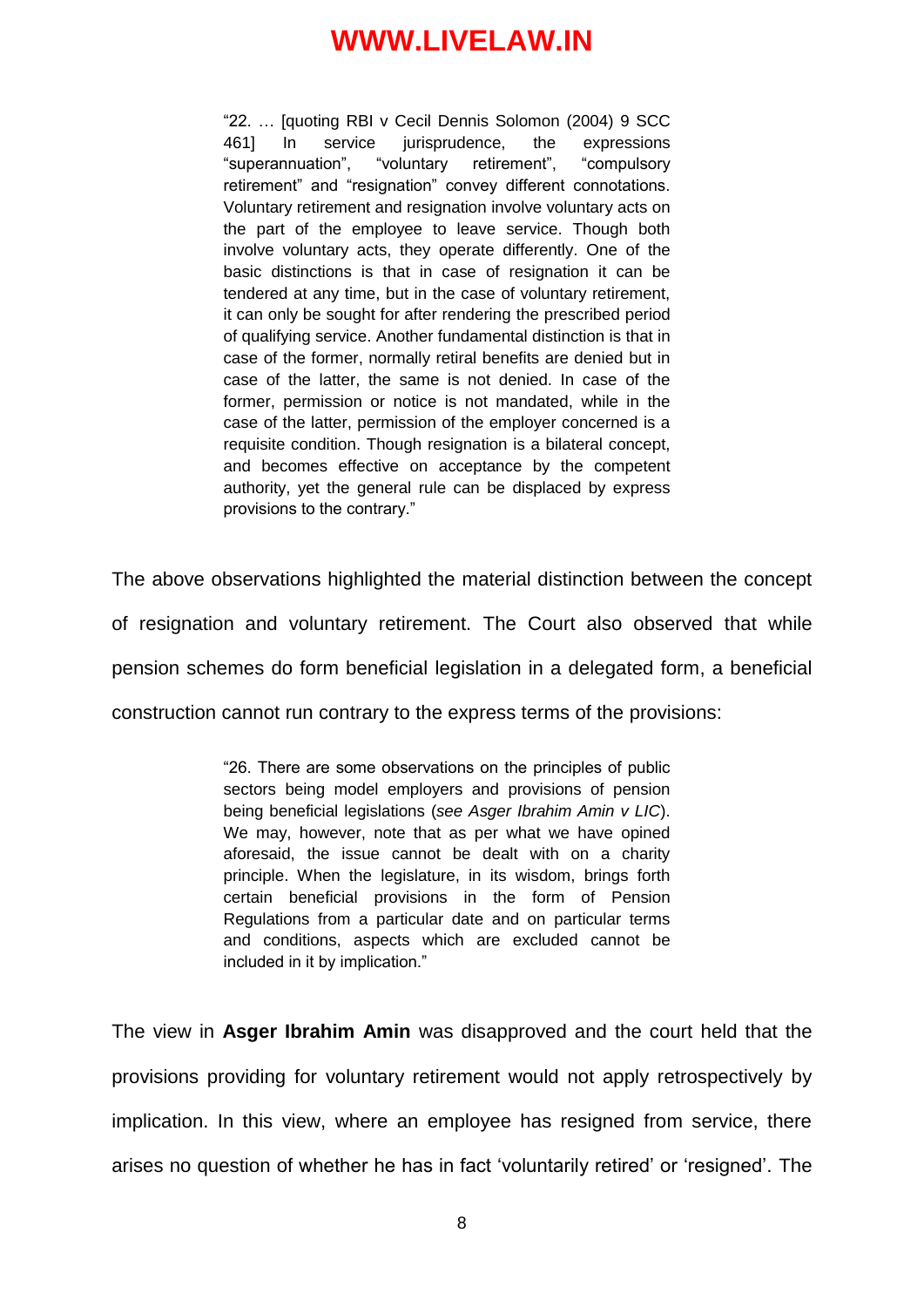"22. … [quoting RBI v Cecil Dennis Solomon (2004) 9 SCC 461] In service jurisprudence, the expressions "superannuation", "voluntary retirement", "compulsory retirement" and "resignation" convey different connotations. Voluntary retirement and resignation involve voluntary acts on the part of the employee to leave service. Though both involve voluntary acts, they operate differently. One of the basic distinctions is that in case of resignation it can be tendered at any time, but in the case of voluntary retirement, it can only be sought for after rendering the prescribed period of qualifying service. Another fundamental distinction is that in case of the former, normally retiral benefits are denied but in case of the latter, the same is not denied. In case of the former, permission or notice is not mandated, while in the case of the latter, permission of the employer concerned is a requisite condition. Though resignation is a bilateral concept, and becomes effective on acceptance by the competent authority, yet the general rule can be displaced by express provisions to the contrary."

The above observations highlighted the material distinction between the concept of resignation and voluntary retirement. The Court also observed that while pension schemes do form beneficial legislation in a delegated form, a beneficial construction cannot run contrary to the express terms of the provisions:

> "26. There are some observations on the principles of public sectors being model employers and provisions of pension being beneficial legislations (*see Asger Ibrahim Amin v LIC*). We may, however, note that as per what we have opined aforesaid, the issue cannot be dealt with on a charity principle. When the legislature, in its wisdom, brings forth certain beneficial provisions in the form of Pension Regulations from a particular date and on particular terms and conditions, aspects which are excluded cannot be included in it by implication."

The view in **Asger Ibrahim Amin** was disapproved and the court held that the provisions providing for voluntary retirement would not apply retrospectively by implication. In this view, where an employee has resigned from service, there arises no question of whether he has in fact "voluntarily retired" or "resigned". The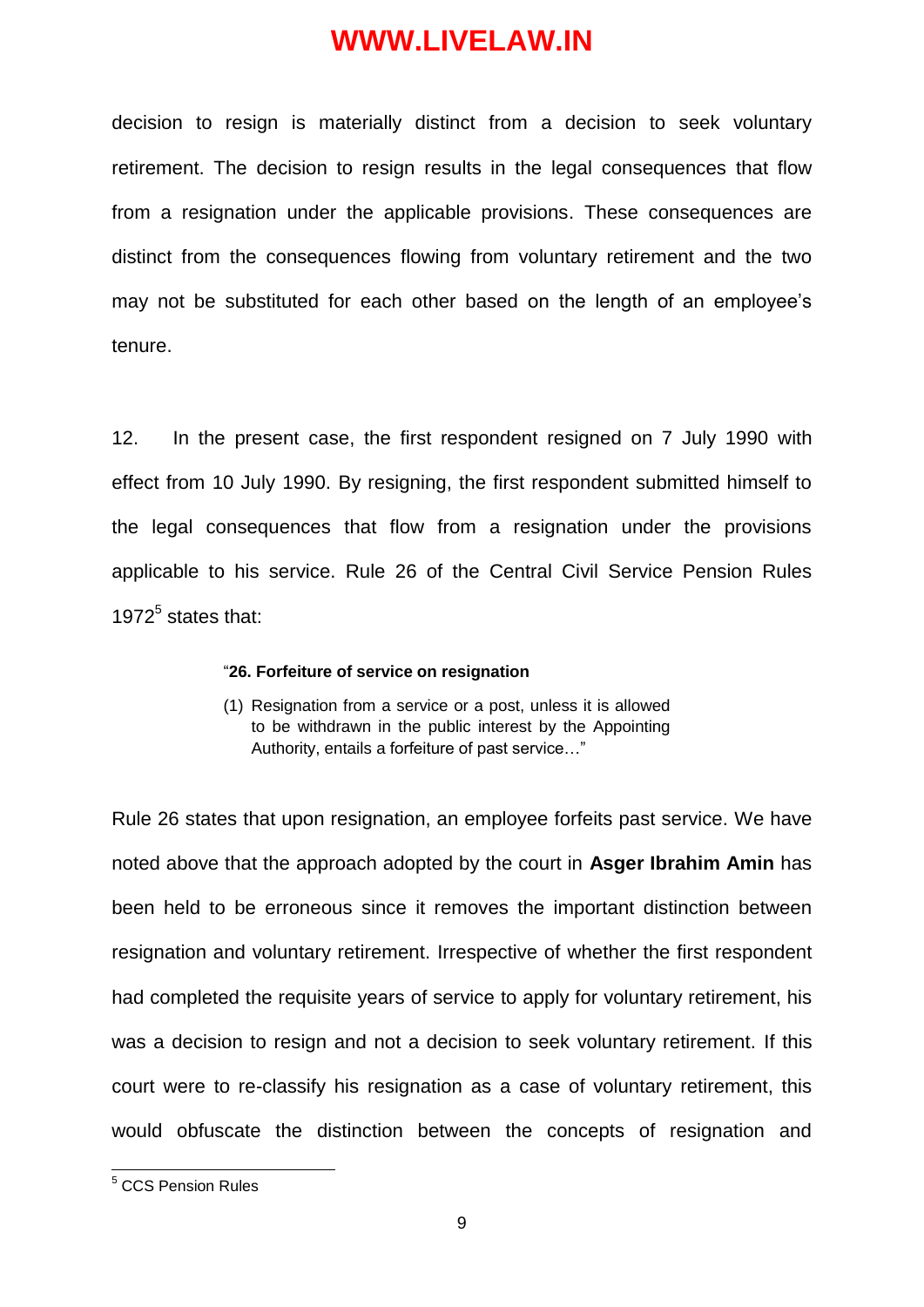decision to resign is materially distinct from a decision to seek voluntary retirement. The decision to resign results in the legal consequences that flow from a resignation under the applicable provisions. These consequences are distinct from the consequences flowing from voluntary retirement and the two may not be substituted for each other based on the length of an employee's tenure.

12. In the present case, the first respondent resigned on 7 July 1990 with effect from 10 July 1990. By resigning, the first respondent submitted himself to the legal consequences that flow from a resignation under the provisions applicable to his service. Rule 26 of the Central Civil Service Pension Rules 1972 $<sup>5</sup>$  states that:</sup>

#### "**26. Forfeiture of service on resignation**

(1) Resignation from a service or a post, unless it is allowed to be withdrawn in the public interest by the Appointing Authority, entails a forfeiture of past service…"

Rule 26 states that upon resignation, an employee forfeits past service. We have noted above that the approach adopted by the court in **Asger Ibrahim Amin** has been held to be erroneous since it removes the important distinction between resignation and voluntary retirement. Irrespective of whether the first respondent had completed the requisite years of service to apply for voluntary retirement, his was a decision to resign and not a decision to seek voluntary retirement. If this court were to re-classify his resignation as a case of voluntary retirement, this would obfuscate the distinction between the concepts of resignation and

-

<sup>5</sup> CCS Pension Rules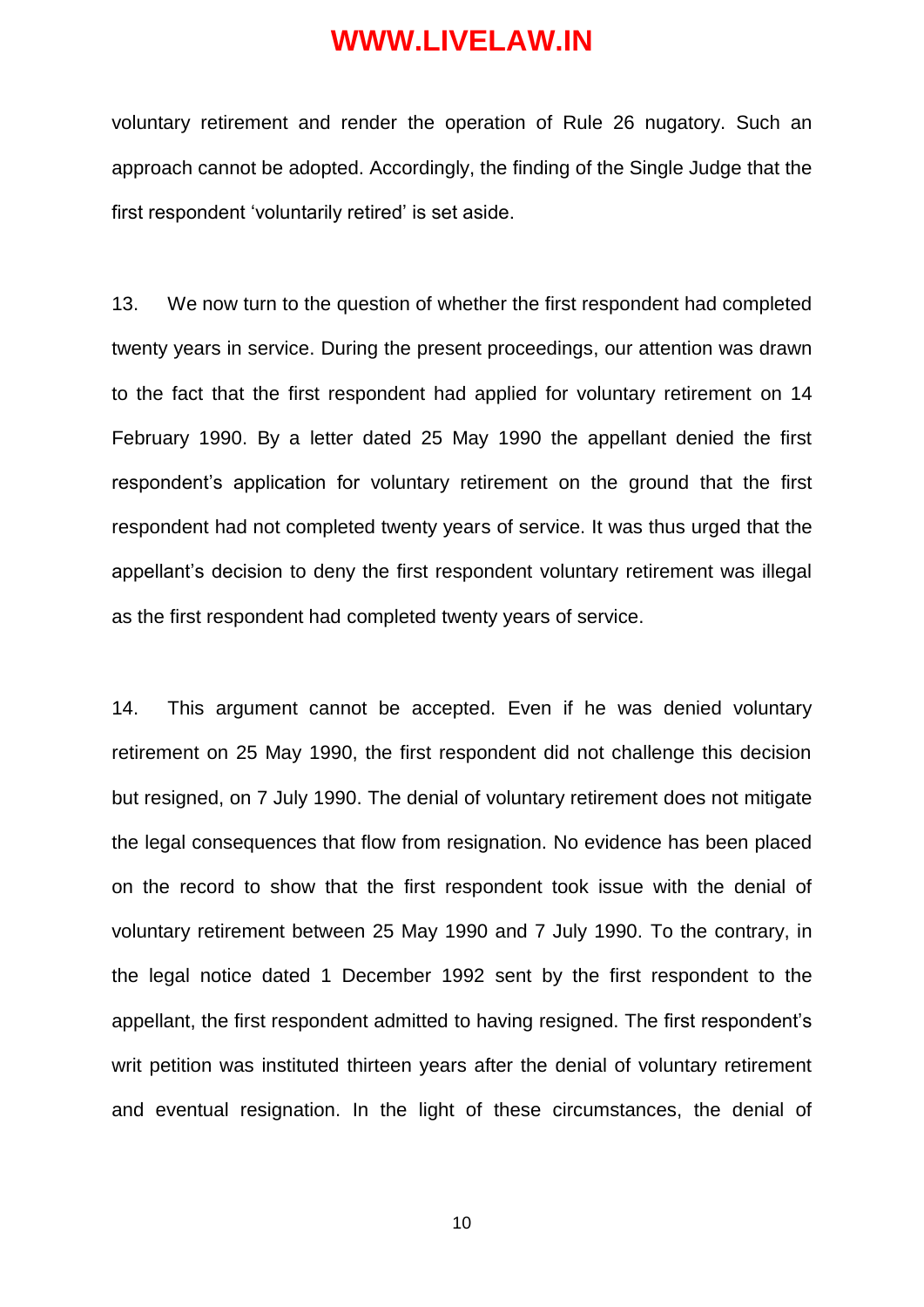voluntary retirement and render the operation of Rule 26 nugatory. Such an approach cannot be adopted. Accordingly, the finding of the Single Judge that the first respondent 'voluntarily retired' is set aside.

13. We now turn to the question of whether the first respondent had completed twenty years in service. During the present proceedings, our attention was drawn to the fact that the first respondent had applied for voluntary retirement on 14 February 1990. By a letter dated 25 May 1990 the appellant denied the first respondent"s application for voluntary retirement on the ground that the first respondent had not completed twenty years of service. It was thus urged that the appellant"s decision to deny the first respondent voluntary retirement was illegal as the first respondent had completed twenty years of service.

14. This argument cannot be accepted. Even if he was denied voluntary retirement on 25 May 1990, the first respondent did not challenge this decision but resigned, on 7 July 1990. The denial of voluntary retirement does not mitigate the legal consequences that flow from resignation. No evidence has been placed on the record to show that the first respondent took issue with the denial of voluntary retirement between 25 May 1990 and 7 July 1990. To the contrary, in the legal notice dated 1 December 1992 sent by the first respondent to the appellant, the first respondent admitted to having resigned. The first respondent"s writ petition was instituted thirteen years after the denial of voluntary retirement and eventual resignation. In the light of these circumstances, the denial of

10